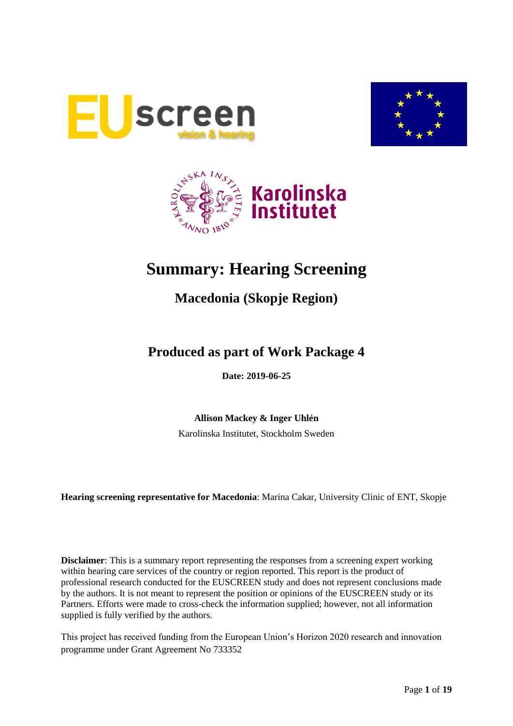





# **Summary: Hearing Screening**

## **Macedonia (Skopje Region)**

## **Produced as part of Work Package 4**

**Date: 2019-06-25**

**Allison Mackey & Inger Uhlén**

Karolinska Institutet, Stockholm Sweden

**Hearing screening representative for Macedonia**: Marina Cakar, University Clinic of ENT, Skopje

**Disclaimer**: This is a summary report representing the responses from a screening expert working within hearing care services of the country or region reported. This report is the product of professional research conducted for the EUSCREEN study and does not represent conclusions made by the authors. It is not meant to represent the position or opinions of the EUSCREEN study or its Partners. Efforts were made to cross-check the information supplied; however, not all information supplied is fully verified by the authors.

This project has received funding from the European Union's Horizon 2020 research and innovation programme under Grant Agreement No 733352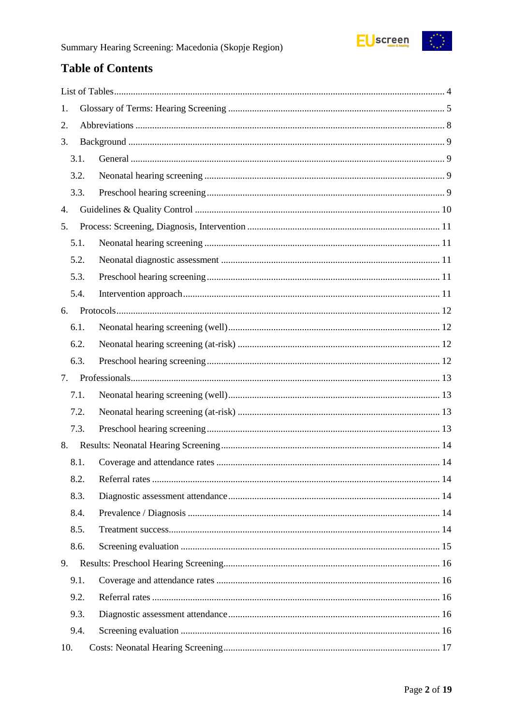

## **Table of Contents**

| 1.   |  |
|------|--|
| 2.   |  |
| 3.   |  |
| 3.1. |  |
| 3.2. |  |
| 3.3. |  |
| 4.   |  |
| 5.   |  |
| 5.1. |  |
| 5.2. |  |
| 5.3. |  |
| 5.4. |  |
| 6.   |  |
| 6.1. |  |
| 6.2. |  |
| 6.3. |  |
| 7.   |  |
| 7.1. |  |
| 7.2. |  |
| 7.3. |  |
| 8.   |  |
| 8.1. |  |
| 8.2. |  |
| 8.3. |  |
| 8.4. |  |
| 8.5. |  |
| 8.6. |  |
| 9.   |  |
| 9.1. |  |
| 9.2. |  |
| 9.3. |  |
| 9.4. |  |
| 10.  |  |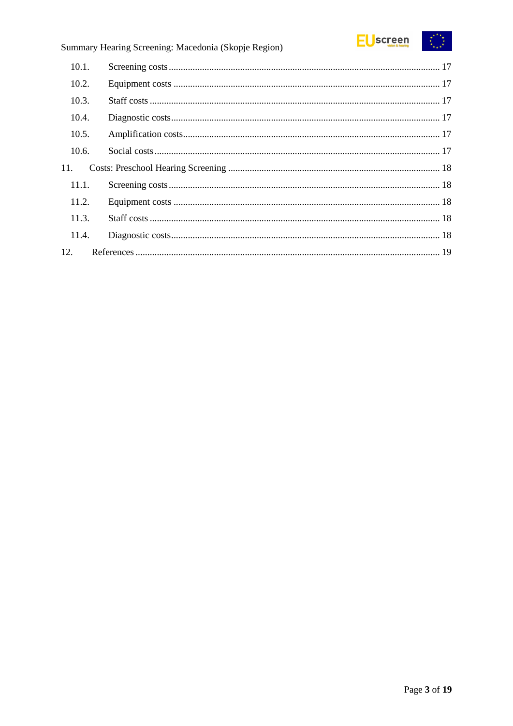

### Summary Hearing Screening: Macedonia (Skopje Region)

| 10.1. |  |
|-------|--|
| 10.2. |  |
| 10.3. |  |
| 10.4. |  |
| 10.5. |  |
| 10.6. |  |
| 11.   |  |
| 11.1. |  |
| 11.2. |  |
| 11.3. |  |
| 11.4. |  |
| 12.   |  |
|       |  |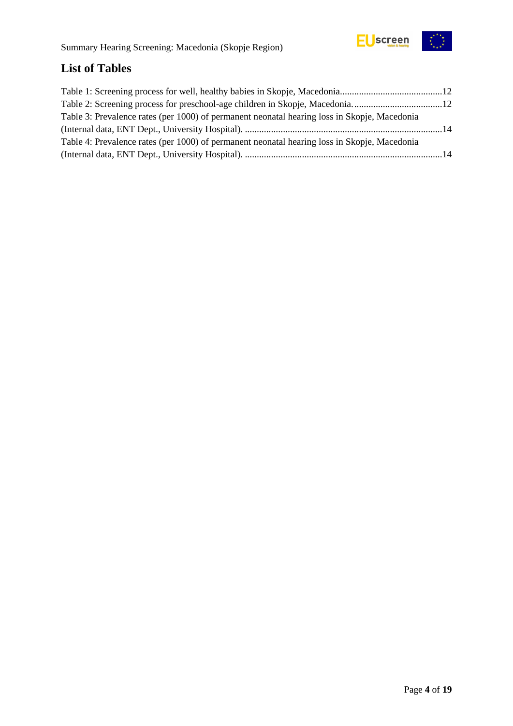

## <span id="page-3-0"></span>**List of Tables**

| Table 3: Prevalence rates (per 1000) of permanent neonatal hearing loss in Skopje, Macedonia |  |
|----------------------------------------------------------------------------------------------|--|
|                                                                                              |  |
| Table 4: Prevalence rates (per 1000) of permanent neonatal hearing loss in Skopje, Macedonia |  |
|                                                                                              |  |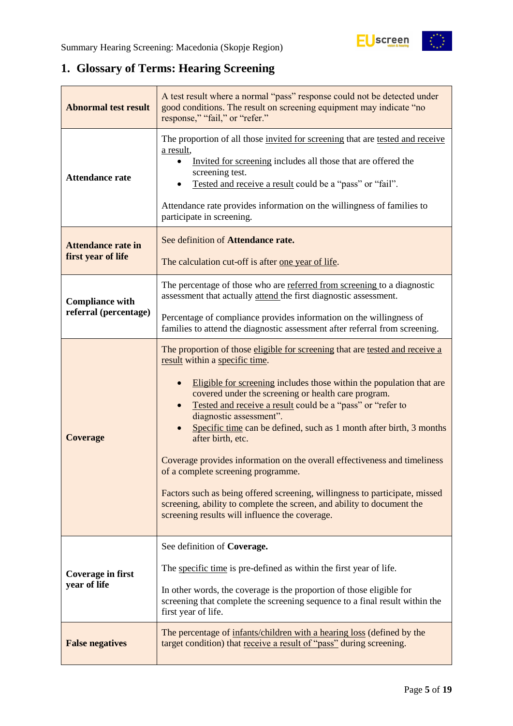

## <span id="page-4-0"></span>**1. Glossary of Terms: Hearing Screening**

| <b>Abnormal test result</b>                     | A test result where a normal "pass" response could not be detected under<br>good conditions. The result on screening equipment may indicate "no<br>response," "fail," or "refer."                                                                                                                                                                                                                                                                                                                                                                                                                                                                                                                                                                                |  |  |  |  |
|-------------------------------------------------|------------------------------------------------------------------------------------------------------------------------------------------------------------------------------------------------------------------------------------------------------------------------------------------------------------------------------------------------------------------------------------------------------------------------------------------------------------------------------------------------------------------------------------------------------------------------------------------------------------------------------------------------------------------------------------------------------------------------------------------------------------------|--|--|--|--|
| <b>Attendance rate</b>                          | The proportion of all those invited for screening that are tested and receive<br>a result,<br>Invited for screening includes all those that are offered the<br>screening test.<br>Tested and receive a result could be a "pass" or "fail".<br>Attendance rate provides information on the willingness of families to<br>participate in screening.                                                                                                                                                                                                                                                                                                                                                                                                                |  |  |  |  |
| <b>Attendance rate in</b><br>first year of life | See definition of Attendance rate.<br>The calculation cut-off is after one year of life.                                                                                                                                                                                                                                                                                                                                                                                                                                                                                                                                                                                                                                                                         |  |  |  |  |
| <b>Compliance with</b>                          | The percentage of those who are referred from screening to a diagnostic<br>assessment that actually attend the first diagnostic assessment.                                                                                                                                                                                                                                                                                                                                                                                                                                                                                                                                                                                                                      |  |  |  |  |
| referral (percentage)                           | Percentage of compliance provides information on the willingness of<br>families to attend the diagnostic assessment after referral from screening.                                                                                                                                                                                                                                                                                                                                                                                                                                                                                                                                                                                                               |  |  |  |  |
| <b>Coverage</b>                                 | The proportion of those eligible for screening that are tested and receive a<br>result within a specific time.<br>Eligible for screening includes those within the population that are<br>covered under the screening or health care program.<br>Tested and receive a result could be a "pass" or "refer to<br>diagnostic assessment".<br>Specific time can be defined, such as 1 month after birth, 3 months<br>after birth, etc.<br>Coverage provides information on the overall effectiveness and timeliness<br>of a complete screening programme.<br>Factors such as being offered screening, willingness to participate, missed<br>screening, ability to complete the screen, and ability to document the<br>screening results will influence the coverage. |  |  |  |  |
| Coverage in first<br>year of life               | See definition of Coverage.<br>The specific time is pre-defined as within the first year of life.<br>In other words, the coverage is the proportion of those eligible for<br>screening that complete the screening sequence to a final result within the<br>first year of life.                                                                                                                                                                                                                                                                                                                                                                                                                                                                                  |  |  |  |  |
| <b>False negatives</b>                          | The percentage of infants/children with a hearing loss (defined by the<br>target condition) that receive a result of "pass" during screening.                                                                                                                                                                                                                                                                                                                                                                                                                                                                                                                                                                                                                    |  |  |  |  |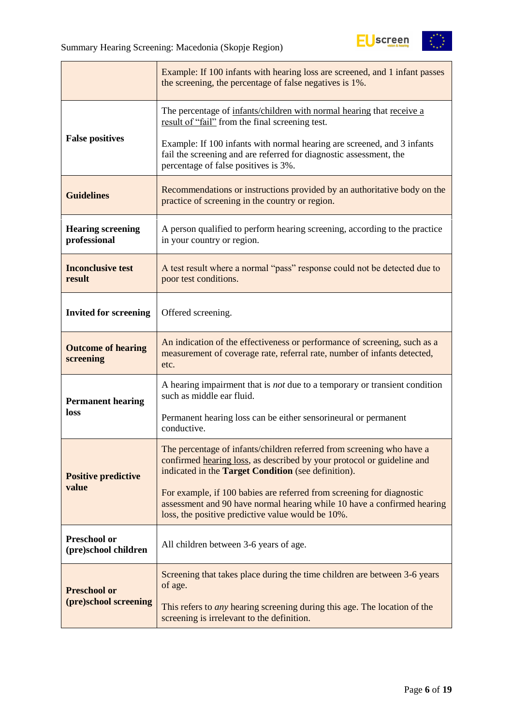

|                                                                                                                                                                                                         | Example: If 100 infants with hearing loss are screened, and 1 infant passes<br>the screening, the percentage of false negatives is 1%.                                                                 |  |  |  |  |
|---------------------------------------------------------------------------------------------------------------------------------------------------------------------------------------------------------|--------------------------------------------------------------------------------------------------------------------------------------------------------------------------------------------------------|--|--|--|--|
|                                                                                                                                                                                                         | The percentage of infants/children with normal hearing that receive a<br>result of "fail" from the final screening test.                                                                               |  |  |  |  |
| <b>False positives</b>                                                                                                                                                                                  | Example: If 100 infants with normal hearing are screened, and 3 infants<br>fail the screening and are referred for diagnostic assessment, the<br>percentage of false positives is 3%.                  |  |  |  |  |
| <b>Guidelines</b>                                                                                                                                                                                       | Recommendations or instructions provided by an authoritative body on the<br>practice of screening in the country or region.                                                                            |  |  |  |  |
| <b>Hearing screening</b><br>professional                                                                                                                                                                | A person qualified to perform hearing screening, according to the practice<br>in your country or region.                                                                                               |  |  |  |  |
| <b>Inconclusive test</b><br>result                                                                                                                                                                      | A test result where a normal "pass" response could not be detected due to<br>poor test conditions.                                                                                                     |  |  |  |  |
| <b>Invited for screening</b>                                                                                                                                                                            | Offered screening.                                                                                                                                                                                     |  |  |  |  |
| An indication of the effectiveness or performance of screening, such as a<br><b>Outcome of hearing</b><br>measurement of coverage rate, referral rate, number of infants detected,<br>screening<br>etc. |                                                                                                                                                                                                        |  |  |  |  |
| <b>Permanent hearing</b>                                                                                                                                                                                | A hearing impairment that is <i>not</i> due to a temporary or transient condition<br>such as middle ear fluid.                                                                                         |  |  |  |  |
| loss                                                                                                                                                                                                    | Permanent hearing loss can be either sensorineural or permanent<br>conductive.                                                                                                                         |  |  |  |  |
| <b>Positive predictive</b>                                                                                                                                                                              | The percentage of infants/children referred from screening who have a<br>confirmed hearing loss, as described by your protocol or guideline and<br>indicated in the Target Condition (see definition). |  |  |  |  |
| value                                                                                                                                                                                                   | For example, if 100 babies are referred from screening for diagnostic<br>assessment and 90 have normal hearing while 10 have a confirmed hearing<br>loss, the positive predictive value would be 10%.  |  |  |  |  |
| Preschool or<br>(pre)school children                                                                                                                                                                    | All children between 3-6 years of age.                                                                                                                                                                 |  |  |  |  |
| <b>Preschool or</b>                                                                                                                                                                                     | Screening that takes place during the time children are between 3-6 years<br>of age.                                                                                                                   |  |  |  |  |
| (pre)school screening                                                                                                                                                                                   | This refers to <i>any</i> hearing screening during this age. The location of the<br>screening is irrelevant to the definition.                                                                         |  |  |  |  |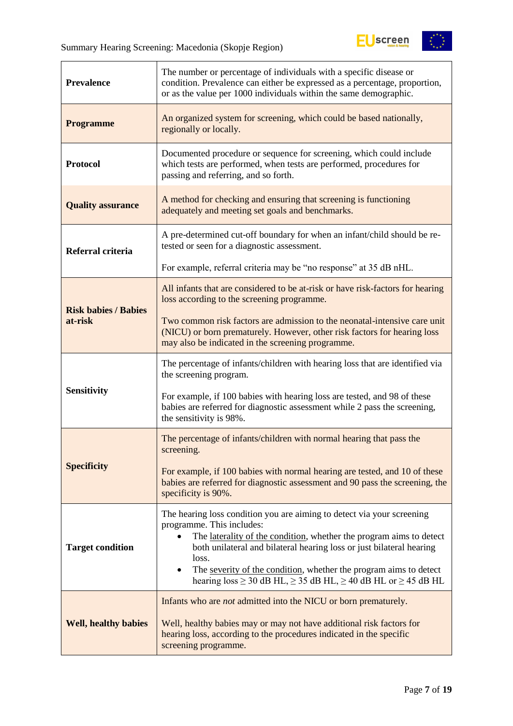

| <b>Prevalence</b>           | The number or percentage of individuals with a specific disease or<br>condition. Prevalence can either be expressed as a percentage, proportion,<br>or as the value per 1000 individuals within the same demographic.                                                                                                                                      |  |  |  |  |
|-----------------------------|------------------------------------------------------------------------------------------------------------------------------------------------------------------------------------------------------------------------------------------------------------------------------------------------------------------------------------------------------------|--|--|--|--|
| <b>Programme</b>            | An organized system for screening, which could be based nationally,<br>regionally or locally.                                                                                                                                                                                                                                                              |  |  |  |  |
| <b>Protocol</b>             | Documented procedure or sequence for screening, which could include<br>which tests are performed, when tests are performed, procedures for<br>passing and referring, and so forth.                                                                                                                                                                         |  |  |  |  |
| <b>Quality assurance</b>    | A method for checking and ensuring that screening is functioning<br>adequately and meeting set goals and benchmarks.                                                                                                                                                                                                                                       |  |  |  |  |
| Referral criteria           | A pre-determined cut-off boundary for when an infant/child should be re-<br>tested or seen for a diagnostic assessment.                                                                                                                                                                                                                                    |  |  |  |  |
|                             | For example, referral criteria may be "no response" at 35 dB nHL.                                                                                                                                                                                                                                                                                          |  |  |  |  |
| <b>Risk babies / Babies</b> | All infants that are considered to be at-risk or have risk-factors for hearing<br>loss according to the screening programme.                                                                                                                                                                                                                               |  |  |  |  |
| at-risk                     | Two common risk factors are admission to the neonatal-intensive care unit<br>(NICU) or born prematurely. However, other risk factors for hearing loss<br>may also be indicated in the screening programme.                                                                                                                                                 |  |  |  |  |
|                             | The percentage of infants/children with hearing loss that are identified via<br>the screening program.                                                                                                                                                                                                                                                     |  |  |  |  |
| <b>Sensitivity</b>          | For example, if 100 babies with hearing loss are tested, and 98 of these<br>babies are referred for diagnostic assessment while 2 pass the screening,<br>the sensitivity is 98%.                                                                                                                                                                           |  |  |  |  |
|                             | The percentage of infants/children with normal hearing that pass the<br>screening.                                                                                                                                                                                                                                                                         |  |  |  |  |
| <b>Specificity</b>          | For example, if 100 babies with normal hearing are tested, and 10 of these<br>babies are referred for diagnostic assessment and 90 pass the screening, the<br>specificity is 90%.                                                                                                                                                                          |  |  |  |  |
| <b>Target condition</b>     | The hearing loss condition you are aiming to detect via your screening<br>programme. This includes:<br>The laterality of the condition, whether the program aims to detect<br>$\bullet$<br>both unilateral and bilateral hearing loss or just bilateral hearing<br>loss.<br>The severity of the condition, whether the program aims to detect<br>$\bullet$ |  |  |  |  |
|                             | hearing $loss \ge 30$ dB HL, $\ge 35$ dB HL, $\ge 40$ dB HL or $\ge 45$ dB HL                                                                                                                                                                                                                                                                              |  |  |  |  |
| <b>Well, healthy babies</b> | Infants who are <i>not</i> admitted into the NICU or born prematurely.<br>Well, healthy babies may or may not have additional risk factors for<br>hearing loss, according to the procedures indicated in the specific<br>screening programme.                                                                                                              |  |  |  |  |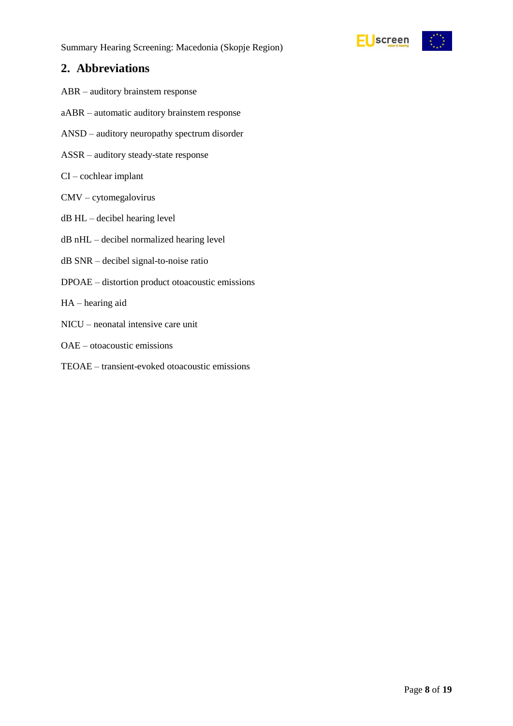

### <span id="page-7-0"></span>**2. Abbreviations**

- ABR auditory brainstem response
- aABR automatic auditory brainstem response
- ANSD auditory neuropathy spectrum disorder
- ASSR auditory steady-state response
- CI cochlear implant
- CMV cytomegalovirus
- dB HL decibel hearing level
- dB nHL decibel normalized hearing level
- dB SNR decibel signal-to-noise ratio
- DPOAE distortion product otoacoustic emissions
- HA hearing aid
- NICU neonatal intensive care unit
- OAE otoacoustic emissions
- TEOAE transient-evoked otoacoustic emissions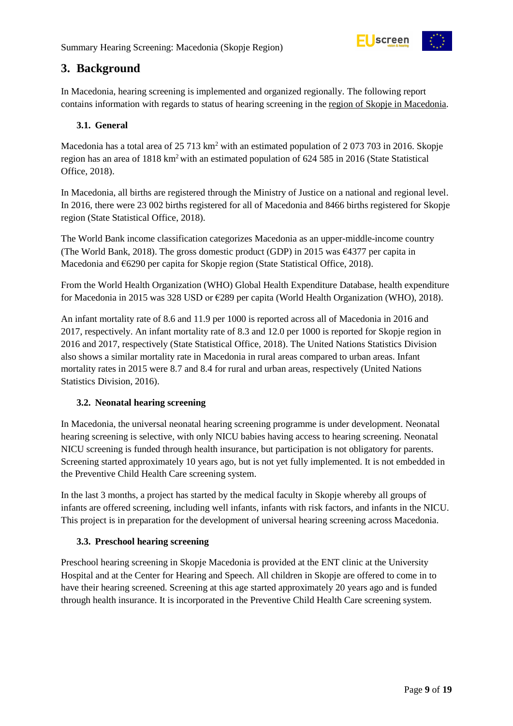

### <span id="page-8-0"></span>**3. Background**

In Macedonia, hearing screening is implemented and organized regionally. The following report contains information with regards to status of hearing screening in the region of Skopje in Macedonia.

#### <span id="page-8-1"></span>**3.1. General**

Macedonia has a total area of 25 713 km<sup>2</sup> with an estimated population of 2 073 703 in 2016. Skopje region has an area of 1818 km<sup>2</sup> with an estimated population of 624 585 in 2016 (State Statistical Office, 2018).

In Macedonia, all births are registered through the Ministry of Justice on a national and regional level. In 2016, there were 23 002 births registered for all of Macedonia and 8466 births registered for Skopje region (State Statistical Office, 2018).

The World Bank income classification categorizes Macedonia as an upper-middle-income country (The World Bank, 2018). The gross domestic product (GDP) in 2015 was €4377 per capita in Macedonia and €6290 per capita for Skopje region (State Statistical Office, 2018).

From the World Health Organization (WHO) Global Health Expenditure Database, health expenditure for Macedonia in 2015 was 328 USD or €289 per capita (World Health Organization (WHO), 2018).

An infant mortality rate of 8.6 and 11.9 per 1000 is reported across all of Macedonia in 2016 and 2017, respectively. An infant mortality rate of 8.3 and 12.0 per 1000 is reported for Skopje region in 2016 and 2017, respectively (State Statistical Office, 2018). The United Nations Statistics Division also shows a similar mortality rate in Macedonia in rural areas compared to urban areas. Infant mortality rates in 2015 were 8.7 and 8.4 for rural and urban areas, respectively (United Nations Statistics Division, 2016).

#### <span id="page-8-2"></span>**3.2. Neonatal hearing screening**

In Macedonia, the universal neonatal hearing screening programme is under development. Neonatal hearing screening is selective, with only NICU babies having access to hearing screening. Neonatal NICU screening is funded through health insurance, but participation is not obligatory for parents. Screening started approximately 10 years ago, but is not yet fully implemented. It is not embedded in the Preventive Child Health Care screening system.

In the last 3 months, a project has started by the medical faculty in Skopje whereby all groups of infants are offered screening, including well infants, infants with risk factors, and infants in the NICU. This project is in preparation for the development of universal hearing screening across Macedonia.

#### <span id="page-8-3"></span>**3.3. Preschool hearing screening**

Preschool hearing screening in Skopje Macedonia is provided at the ENT clinic at the University Hospital and at the Center for Hearing and Speech. All children in Skopje are offered to come in to have their hearing screened. Screening at this age started approximately 20 years ago and is funded through health insurance. It is incorporated in the Preventive Child Health Care screening system.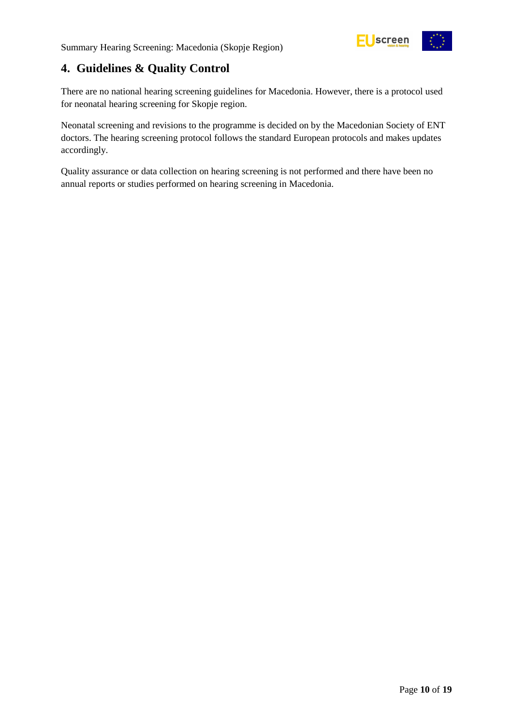

### <span id="page-9-0"></span>**4. Guidelines & Quality Control**

There are no national hearing screening guidelines for Macedonia. However, there is a protocol used for neonatal hearing screening for Skopje region.

Neonatal screening and revisions to the programme is decided on by the Macedonian Society of ENT doctors. The hearing screening protocol follows the standard European protocols and makes updates accordingly.

Quality assurance or data collection on hearing screening is not performed and there have been no annual reports or studies performed on hearing screening in Macedonia.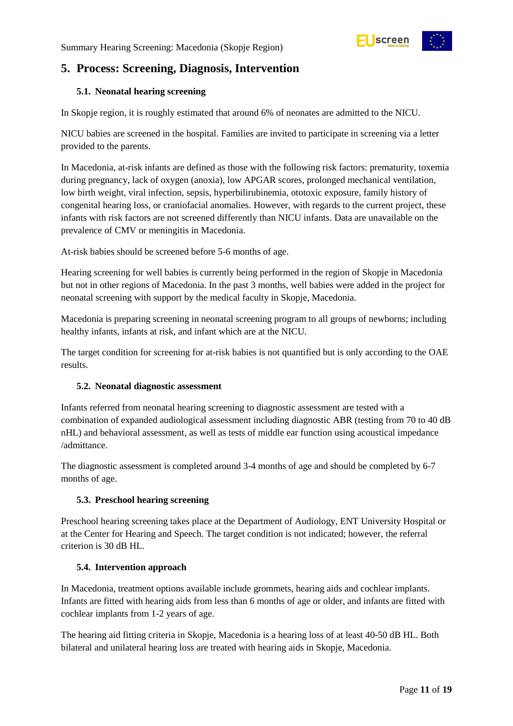

### <span id="page-10-0"></span>**5. Process: Screening, Diagnosis, Intervention**

#### <span id="page-10-1"></span>**5.1. Neonatal hearing screening**

In Skopje region, it is roughly estimated that around 6% of neonates are admitted to the NICU.

NICU babies are screened in the hospital. Families are invited to participate in screening via a letter provided to the parents.

In Macedonia, at-risk infants are defined as those with the following risk factors: prematurity, toxemia during pregnancy, lack of oxygen (anoxia), low APGAR scores, prolonged mechanical ventilation, low birth weight, viral infection, sepsis, hyperbilirubinemia, ototoxic exposure, family history of congenital hearing loss, or craniofacial anomalies. However, with regards to the current project, these infants with risk factors are not screened differently than NICU infants. Data are unavailable on the prevalence of CMV or meningitis in Macedonia.

At-risk babies should be screened before 5-6 months of age.

Hearing screening for well babies is currently being performed in the region of Skopje in Macedonia but not in other regions of Macedonia. In the past 3 months, well babies were added in the project for neonatal screening with support by the medical faculty in Skopje, Macedonia.

Macedonia is preparing screening in neonatal screening program to all groups of newborns; including healthy infants, infants at risk, and infant which are at the NICU.

The target condition for screening for at-risk babies is not quantified but is only according to the OAE results.

#### <span id="page-10-2"></span>**5.2. Neonatal diagnostic assessment**

Infants referred from neonatal hearing screening to diagnostic assessment are tested with a combination of expanded audiological assessment including diagnostic ABR (testing from 70 to 40 dB nHL) and behavioral assessment, as well as tests of middle ear function using acoustical impedance /admittance.

The diagnostic assessment is completed around 3-4 months of age and should be completed by 6-7 months of age.

#### <span id="page-10-3"></span>**5.3. Preschool hearing screening**

Preschool hearing screening takes place at the Department of Audiology, ENT University Hospital or at the Center for Hearing and Speech. The target condition is not indicated; however, the referral criterion is 30 dB HL.

#### <span id="page-10-4"></span>**5.4. Intervention approach**

In Macedonia, treatment options available include grommets, hearing aids and cochlear implants. Infants are fitted with hearing aids from less than 6 months of age or older, and infants are fitted with cochlear implants from 1-2 years of age.

The hearing aid fitting criteria in Skopje, Macedonia is a hearing loss of at least 40-50 dB HL. Both bilateral and unilateral hearing loss are treated with hearing aids in Skopje, Macedonia.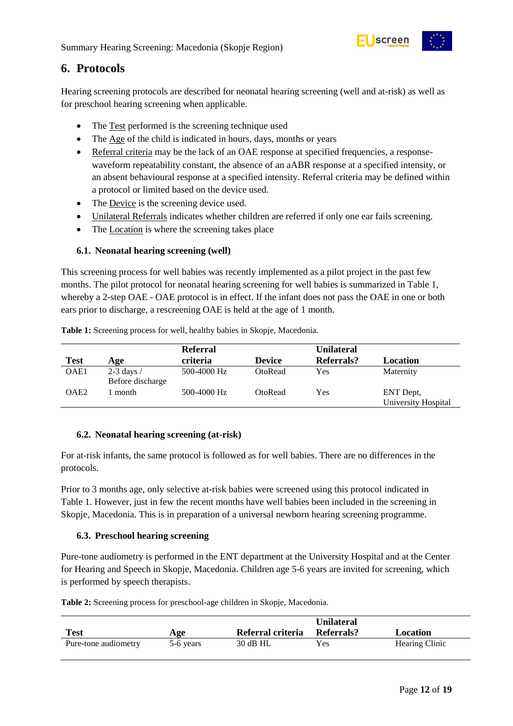

### <span id="page-11-0"></span>**6. Protocols**

Hearing screening protocols are described for neonatal hearing screening (well and at-risk) as well as for preschool hearing screening when applicable.

- The Test performed is the screening technique used
- The Age of the child is indicated in hours, days, months or years
- Referral criteria may be the lack of an OAE response at specified frequencies, a responsewaveform repeatability constant, the absence of an aABR response at a specified intensity, or an absent behavioural response at a specified intensity. Referral criteria may be defined within a protocol or limited based on the device used.
- The Device is the screening device used.
- Unilateral Referrals indicates whether children are referred if only one ear fails screening.
- The Location is where the screening takes place

#### <span id="page-11-1"></span>**6.1. Neonatal hearing screening (well)**

This screening process for well babies was recently implemented as a pilot project in the past few months. The pilot protocol for neonatal hearing screening for well babies is summarized in Table 1, whereby a 2-step OAE - OAE protocol is in effect. If the infant does not pass the OAE in one or both ears prior to discharge, a rescreening OAE is held at the age of 1 month.

|                  |                                  | <b>Referral</b> |               | <b>Unilateral</b> |                                  |
|------------------|----------------------------------|-----------------|---------------|-------------------|----------------------------------|
| <b>Test</b>      | Age                              | criteria        | <b>Device</b> | Referrals?        | Location                         |
| OAE1             | $2-3$ days /<br>Before discharge | 500-4000 Hz     | OtoRead       | Yes               | Maternity                        |
| OAE <sub>2</sub> | month                            | 500-4000 Hz     | OtoRead       | Yes               | ENT Dept,<br>University Hospital |

<span id="page-11-4"></span>**Table 1:** Screening process for well, healthy babies in Skopje, Macedonia.

#### <span id="page-11-2"></span>**6.2. Neonatal hearing screening (at-risk)**

For at-risk infants, the same protocol is followed as for well babies. There are no differences in the protocols.

Prior to 3 months age, only selective at-risk babies were screened using this protocol indicated in Table 1. However, just in few the recent months have well babies been included in the screening in Skopje, Macedonia. This is in preparation of a universal newborn hearing screening programme.

#### <span id="page-11-3"></span>**6.3. Preschool hearing screening**

Pure-tone audiometry is performed in the ENT department at the University Hospital and at the Center for Hearing and Speech in Skopje, Macedonia. Children age 5-6 years are invited for screening, which is performed by speech therapists.

<span id="page-11-5"></span>**Table 2:** Screening process for preschool-age children in Skopje, Macedonia.

|                      |           |                   | <b>Unilateral</b> |                |
|----------------------|-----------|-------------------|-------------------|----------------|
| <b>Test</b>          | Age       | Referral criteria | Referrals?        | Location       |
| Pure-tone audiometry | 5-6 years | 30 dB HL          | Yes               | Hearing Clinic |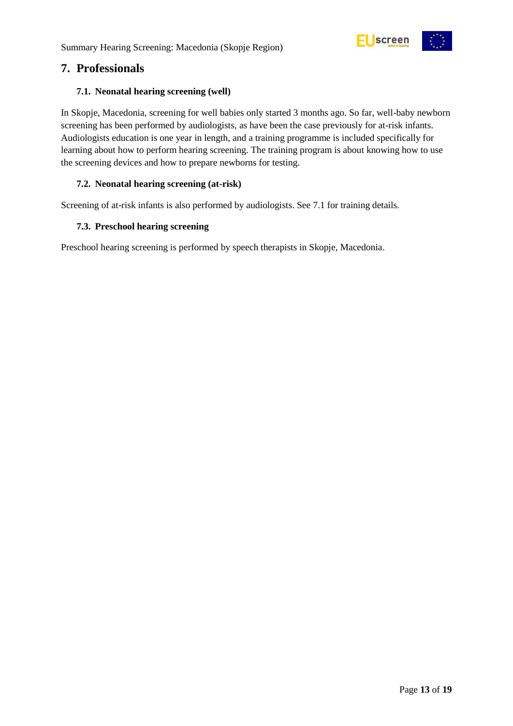

### <span id="page-12-0"></span>**7. Professionals**

#### <span id="page-12-1"></span>**7.1. Neonatal hearing screening (well)**

In Skopje, Macedonia, screening for well babies only started 3 months ago. So far, well-baby newborn screening has been performed by audiologists, as have been the case previously for at-risk infants. Audiologists education is one year in length, and a training programme is included specifically for learning about how to perform hearing screening. The training program is about knowing how to use the screening devices and how to prepare newborns for testing.

#### <span id="page-12-2"></span>**7.2. Neonatal hearing screening (at-risk)**

Screening of at-risk infants is also performed by audiologists. See 7.1 for training details.

#### <span id="page-12-3"></span>**7.3. Preschool hearing screening**

Preschool hearing screening is performed by speech therapists in Skopje, Macedonia.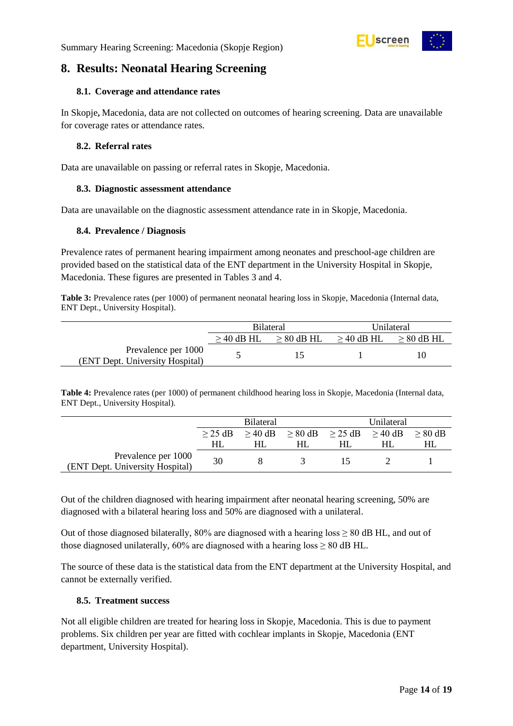

### <span id="page-13-0"></span>**8. Results: Neonatal Hearing Screening**

#### <span id="page-13-1"></span>**8.1. Coverage and attendance rates**

In Skopje**,** Macedonia, data are not collected on outcomes of hearing screening. Data are unavailable for coverage rates or attendance rates.

#### <span id="page-13-2"></span>**8.2. Referral rates**

Data are unavailable on passing or referral rates in Skopje, Macedonia.

#### <span id="page-13-3"></span>**8.3. Diagnostic assessment attendance**

Data are unavailable on the diagnostic assessment attendance rate in in Skopje, Macedonia.

#### <span id="page-13-4"></span>**8.4. Prevalence / Diagnosis**

Prevalence rates of permanent hearing impairment among neonates and preschool-age children are provided based on the statistical data of the ENT department in the University Hospital in Skopje, Macedonia. These figures are presented in Tables 3 and 4.

<span id="page-13-6"></span>**Table 3:** Prevalence rates (per 1000) of permanent neonatal hearing loss in Skopje, Macedonia (Internal data, ENT Dept., University Hospital).

|                                                        |                 | <b>Bilateral</b> | Unilateral      |                 |
|--------------------------------------------------------|-----------------|------------------|-----------------|-----------------|
|                                                        | $\geq$ 40 dB HL | $\geq 80$ dB HL  | $\geq$ 40 dB HL | $\geq 80$ dB HL |
| Prevalence per 1000<br>(ENT Dept. University Hospital) |                 |                  |                 | 10              |

<span id="page-13-7"></span>**Table 4:** Prevalence rates (per 1000) of permanent childhood hearing loss in Skopje, Macedonia (Internal data, ENT Dept., University Hospital).

|                                                        | <b>Bilateral</b> |  |                                         | Unilateral |  |                   |
|--------------------------------------------------------|------------------|--|-----------------------------------------|------------|--|-------------------|
|                                                        | $>$ 25 dB        |  | $> 40$ dB $> 80$ dB $> 25$ dB $> 40$ dB |            |  | $> 80 \text{ dB}$ |
|                                                        | HL               |  |                                         |            |  |                   |
| Prevalence per 1000<br>(ENT Dept. University Hospital) | 30               |  |                                         |            |  |                   |

Out of the children diagnosed with hearing impairment after neonatal hearing screening, 50% are diagnosed with a bilateral hearing loss and 50% are diagnosed with a unilateral.

Out of those diagnosed bilaterally, 80% are diagnosed with a hearing loss  $\geq 80$  dB HL, and out of those diagnosed unilaterally,  $60\%$  are diagnosed with a hearing loss  $\geq 80$  dB HL.

The source of these data is the statistical data from the ENT department at the University Hospital, and cannot be externally verified.

#### <span id="page-13-5"></span>**8.5. Treatment success**

Not all eligible children are treated for hearing loss in Skopje, Macedonia. This is due to payment problems. Six children per year are fitted with cochlear implants in Skopje, Macedonia (ENT department, University Hospital).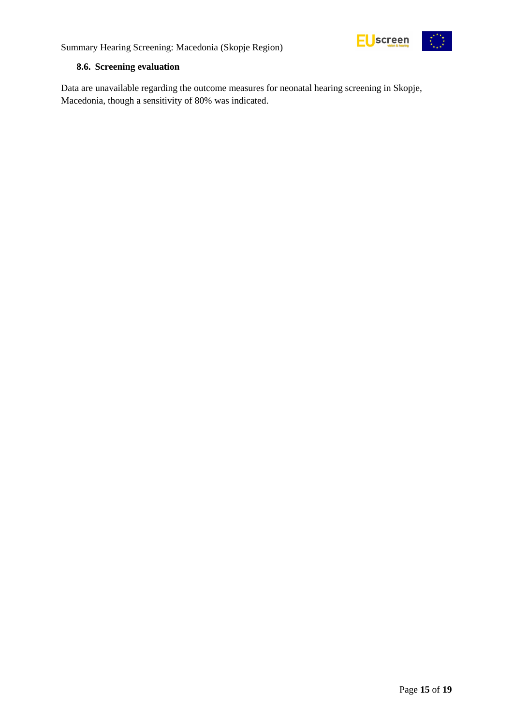

Summary Hearing Screening: Macedonia (Skopje Region)

#### <span id="page-14-0"></span>**8.6. Screening evaluation**

Data are unavailable regarding the outcome measures for neonatal hearing screening in Skopje, Macedonia, though a sensitivity of 80% was indicated.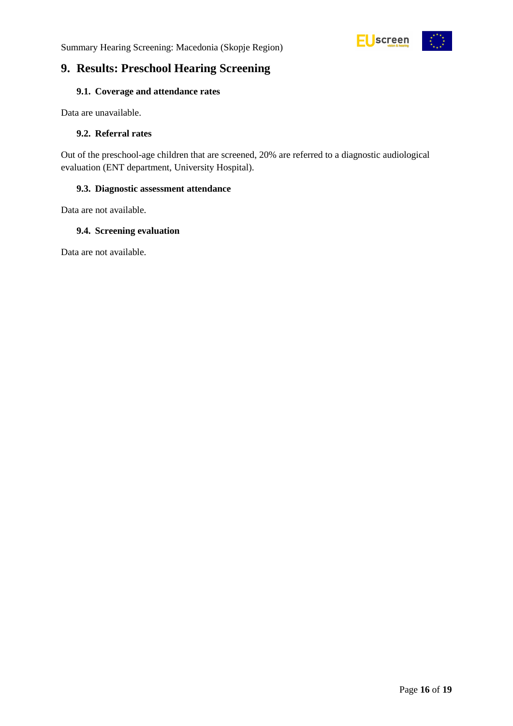



### <span id="page-15-0"></span>**9. Results: Preschool Hearing Screening**

#### <span id="page-15-1"></span>**9.1. Coverage and attendance rates**

Data are unavailable.

#### <span id="page-15-2"></span>**9.2. Referral rates**

Out of the preschool-age children that are screened, 20% are referred to a diagnostic audiological evaluation (ENT department, University Hospital).

#### <span id="page-15-3"></span>**9.3. Diagnostic assessment attendance**

Data are not available.

#### <span id="page-15-4"></span>**9.4. Screening evaluation**

Data are not available.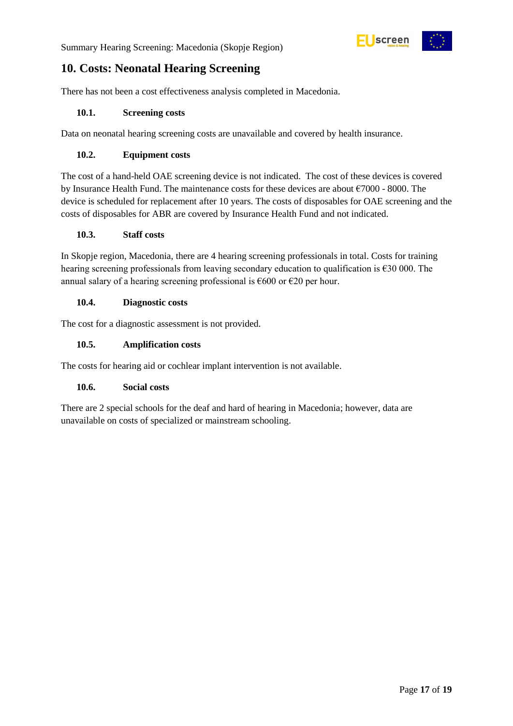

### <span id="page-16-0"></span>**10. Costs: Neonatal Hearing Screening**

There has not been a cost effectiveness analysis completed in Macedonia.

#### <span id="page-16-1"></span>**10.1. Screening costs**

Data on neonatal hearing screening costs are unavailable and covered by health insurance.

#### <span id="page-16-2"></span>**10.2. Equipment costs**

The cost of a hand-held OAE screening device is not indicated. The cost of these devices is covered by Insurance Health Fund. The maintenance costs for these devices are about €7000 - 8000. The device is scheduled for replacement after 10 years. The costs of disposables for OAE screening and the costs of disposables for ABR are covered by Insurance Health Fund and not indicated.

#### <span id="page-16-3"></span>**10.3. Staff costs**

In Skopje region, Macedonia, there are 4 hearing screening professionals in total. Costs for training hearing screening professionals from leaving secondary education to qualification is  $\epsilon$ 30 000. The annual salary of a hearing screening professional is  $\epsilon$ 600 or  $\epsilon$ 20 per hour.

#### <span id="page-16-4"></span>**10.4. Diagnostic costs**

The cost for a diagnostic assessment is not provided.

#### <span id="page-16-5"></span>**10.5. Amplification costs**

The costs for hearing aid or cochlear implant intervention is not available.

#### <span id="page-16-6"></span>**10.6. Social costs**

There are 2 special schools for the deaf and hard of hearing in Macedonia; however, data are unavailable on costs of specialized or mainstream schooling.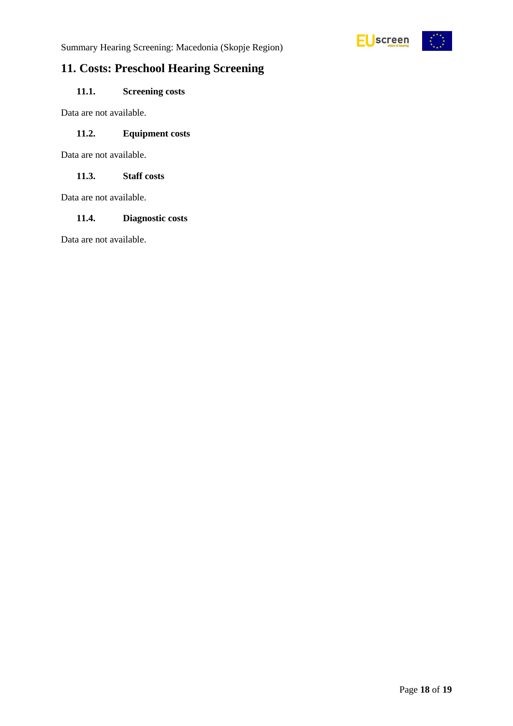

Summary Hearing Screening: Macedonia (Skopje Region)

### <span id="page-17-0"></span>**11. Costs: Preschool Hearing Screening**

### <span id="page-17-1"></span>**11.1. Screening costs**

Data are not available.

#### <span id="page-17-2"></span>**11.2. Equipment costs**

Data are not available.

<span id="page-17-3"></span>**11.3. Staff costs**

Data are not available.

#### <span id="page-17-4"></span>**11.4. Diagnostic costs**

Data are not available.